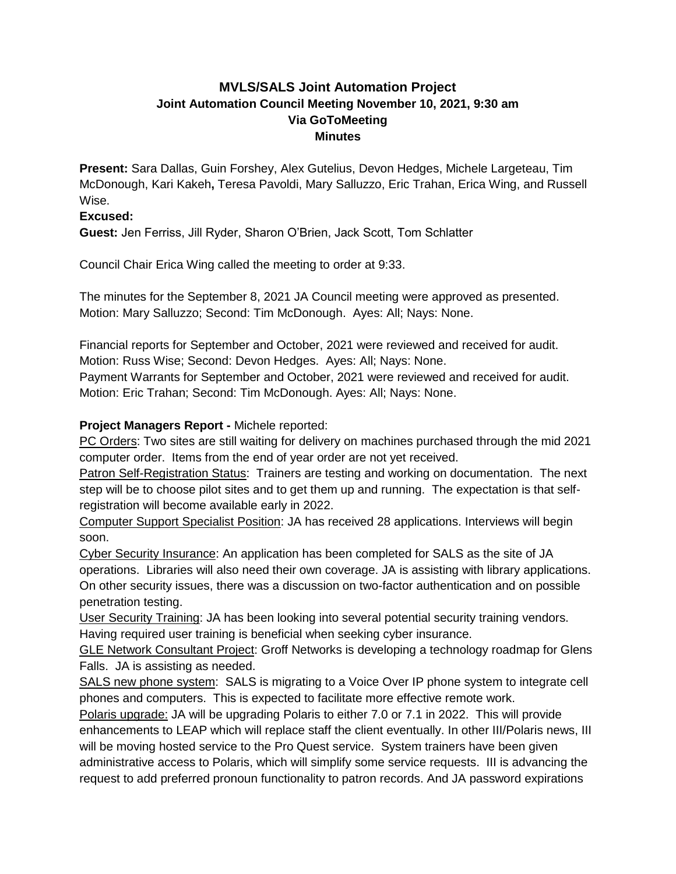# **MVLS/SALS Joint Automation Project Joint Automation Council Meeting November 10, 2021, 9:30 am Via GoToMeeting Minutes**

**Present:** Sara Dallas, Guin Forshey, Alex Gutelius, Devon Hedges, Michele Largeteau, Tim McDonough, Kari Kakeh**,** Teresa Pavoldi, Mary Salluzzo, Eric Trahan, Erica Wing, and Russell Wise.

## **Excused:**

**Guest:** Jen Ferriss, Jill Ryder, Sharon O'Brien, Jack Scott, Tom Schlatter

Council Chair Erica Wing called the meeting to order at 9:33.

The minutes for the September 8, 2021 JA Council meeting were approved as presented. Motion: Mary Salluzzo; Second: Tim McDonough. Ayes: All; Nays: None.

Financial reports for September and October, 2021 were reviewed and received for audit. Motion: Russ Wise; Second: Devon Hedges. Ayes: All; Nays: None.

Payment Warrants for September and October, 2021 were reviewed and received for audit. Motion: Eric Trahan; Second: Tim McDonough. Ayes: All; Nays: None.

## **Project Managers Report -** Michele reported:

PC Orders: Two sites are still waiting for delivery on machines purchased through the mid 2021 computer order. Items from the end of year order are not yet received.

Patron Self-Registration Status: Trainers are testing and working on documentation. The next step will be to choose pilot sites and to get them up and running. The expectation is that selfregistration will become available early in 2022.

Computer Support Specialist Position: JA has received 28 applications. Interviews will begin soon.

Cyber Security Insurance: An application has been completed for SALS as the site of JA operations. Libraries will also need their own coverage. JA is assisting with library applications. On other security issues, there was a discussion on two-factor authentication and on possible penetration testing.

User Security Training: JA has been looking into several potential security training vendors. Having required user training is beneficial when seeking cyber insurance.

GLE Network Consultant Project: Groff Networks is developing a technology roadmap for Glens Falls. JA is assisting as needed.

SALS new phone system: SALS is migrating to a Voice Over IP phone system to integrate cell phones and computers. This is expected to facilitate more effective remote work.

Polaris upgrade: JA will be upgrading Polaris to either 7.0 or 7.1 in 2022. This will provide enhancements to LEAP which will replace staff the client eventually. In other III/Polaris news, III will be moving hosted service to the Pro Quest service. System trainers have been given administrative access to Polaris, which will simplify some service requests. III is advancing the request to add preferred pronoun functionality to patron records. And JA password expirations